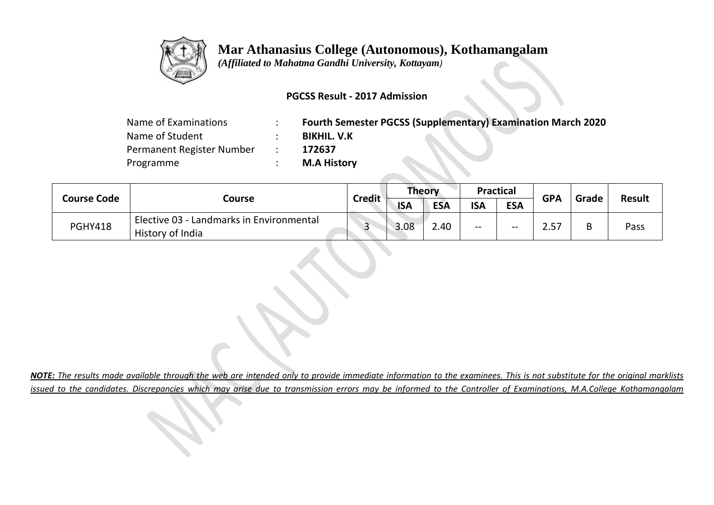

## **Mar Athanasius College (Autonomous), Kothamangalam**

 *(Affiliated to Mahatma Gandhi University, Kottayam)*

## **PGCSS Result - 2017 Admission**

| Name of Examinations      | <b>Fourth Semester PGCSS (Supplementary) Examination March 2020</b> |
|---------------------------|---------------------------------------------------------------------|
| Name of Student           | <b>BIKHIL. V.K</b>                                                  |
| Permanent Register Number | 172637                                                              |
| Programme                 | <b>M.A History</b>                                                  |

**START START** 

**Contract Contract** 

| <b>Course Code</b> |                                                              | <b>Credit</b> | <b>Theory</b> |            | Practical  |            | <b>GPA</b> |       |               |
|--------------------|--------------------------------------------------------------|---------------|---------------|------------|------------|------------|------------|-------|---------------|
|                    | Course                                                       |               | <b>ISA</b>    | <b>ESA</b> | <b>ISA</b> | <b>ESA</b> |            | Grade | <b>Result</b> |
| <b>PGHY418</b>     | Elective 03 - Landmarks in Environmental<br>History of India | ີ             | 3.08          | 2.40       | $- -$      | $- -$      |            | B     | Pass          |

*NOTE: The results made available through the web are intended only to provide immediate information to the examinees. This is not substitute for the original marklists issued to the candidates. Discrepancies which may arise due to transmission errors may be informed to the Controller of Examinations, M.A.College Kothamangalam*